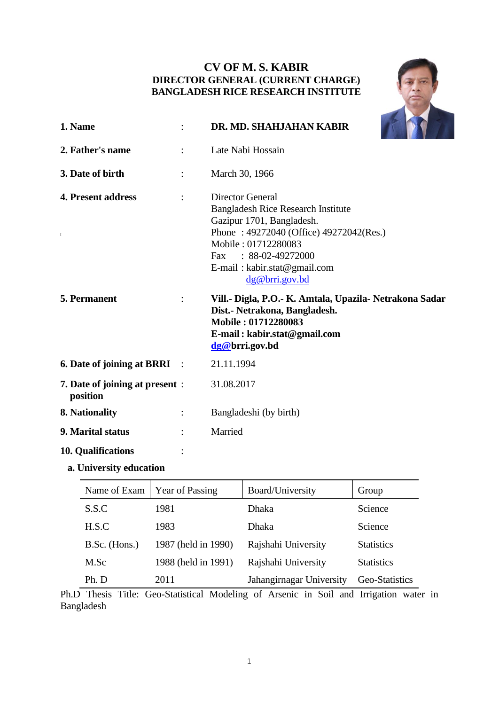# **CV OF M. S. KABIR DIRECTOR GENERAL (CURRENT CHARGE) BANGLADESH RICE RESEARCH INSTITUTE**



| 1. Name                                     |                | DR. MD. SHAHJAHAN KABIR                                                                                                                                                                                                                     |
|---------------------------------------------|----------------|---------------------------------------------------------------------------------------------------------------------------------------------------------------------------------------------------------------------------------------------|
| 2. Father's name                            |                | Late Nabi Hossain                                                                                                                                                                                                                           |
| 3. Date of birth                            | $\ddot{\cdot}$ | March 30, 1966                                                                                                                                                                                                                              |
| 4. Present address<br>$\mathbb{L}$          |                | <b>Director General</b><br><b>Bangladesh Rice Research Institute</b><br>Gazipur 1701, Bangladesh.<br>Phone: 49272040 (Office) 49272042(Res.)<br>Mobile: 01712280083<br>Fax: 88-02-49272000<br>E-mail: kabir.stat@gmail.com<br>dg@bri.gov.bd |
| 5. Permanent                                |                | Vill.- Digla, P.O.- K. Amtala, Upazila- Netrakona Sadar<br>Dist.- Netrakona, Bangladesh.<br>Mobile: 01712280083<br>E-mail: kabir.stat@gmail.com<br>dg@brri.gov.bd                                                                           |
| <b>6. Date of joining at BRRI</b> :         |                | 21.11.1994                                                                                                                                                                                                                                  |
| 7. Date of joining at present :<br>position |                | 31.08.2017                                                                                                                                                                                                                                  |
| 8. Nationality                              |                | Bangladeshi (by birth)                                                                                                                                                                                                                      |
| 9. Marital status                           |                | Married                                                                                                                                                                                                                                     |
| <b>10. Qualifications</b>                   |                |                                                                                                                                                                                                                                             |

- 
- **a. University education**

| Name of Exam  | <b>Year of Passing</b> | Board/University         | Group             |
|---------------|------------------------|--------------------------|-------------------|
| S.S.C         | 1981                   | <b>Dhaka</b>             | Science           |
| H.S.C         | 1983                   | Dhaka                    | Science           |
| B.Sc. (Hons.) | 1987 (held in 1990)    | Rajshahi University      | <b>Statistics</b> |
| M.Sc          | 1988 (held in 1991)    | Rajshahi University      | <b>Statistics</b> |
| Ph. D         | 2011                   | Jahangirnagar University | Geo-Statistics    |

Ph.D Thesis Title: Geo-Statistical Modeling of Arsenic in Soil and Irrigation water in Bangladesh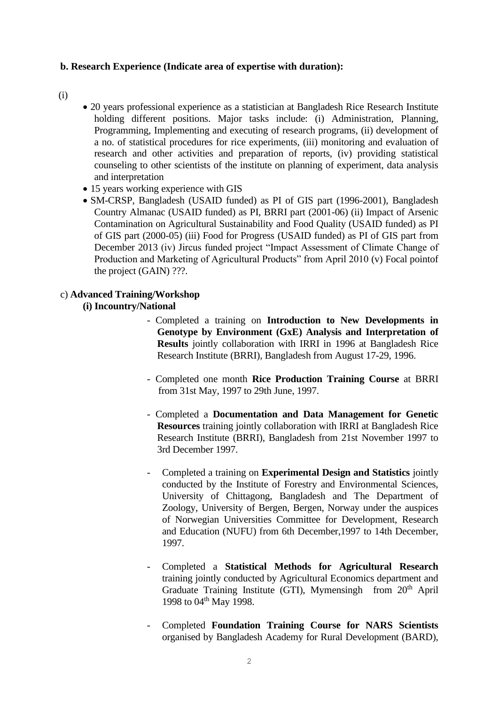## **b. Research Experience (Indicate area of expertise with duration):**

- (i)
- 20 years professional experience as a statistician at Bangladesh Rice Research Institute holding different positions. Major tasks include: (i) Administration, Planning, Programming, Implementing and executing of research programs, (ii) development of a no. of statistical procedures for rice experiments, (iii) monitoring and evaluation of research and other activities and preparation of reports, (iv) providing statistical counseling to other scientists of the institute on planning of experiment, data analysis and interpretation
- 15 years working experience with GIS
- SM-CRSP, Bangladesh (USAID funded) as PI of GIS part (1996-2001), Bangladesh Country Almanac (USAID funded) as PI, BRRI part (2001-06) (ii) Impact of Arsenic Contamination on Agricultural Sustainability and Food Quality (USAID funded) as PI of GIS part (2000-05) (iii) Food for Progress (USAID funded) as PI of GIS part from December 2013 (iv) Jircus funded project "Impact Assessment of Climate Change of Production and Marketing of Agricultural Products" from April 2010 (v) Focal pointof the project (GAIN) ???.

## c) **Advanced Training/Workshop**

## **(i) Incountry/National**

- Completed a training on **Introduction to New Developments in Genotype by Environment (GxE) Analysis and Interpretation of Results** jointly collaboration with IRRI in 1996 at Bangladesh Rice Research Institute (BRRI), Bangladesh from August 17-29, 1996.
- Completed one month **Rice Production Training Course** at BRRI from 31st May, 1997 to 29th June, 1997.
- Completed a **Documentation and Data Management for Genetic Resources** training jointly collaboration with IRRI at Bangladesh Rice Research Institute (BRRI), Bangladesh from 21st November 1997 to 3rd December 1997.
- Completed a training on **Experimental Design and Statistics** jointly conducted by the Institute of Forestry and Environmental Sciences, University of Chittagong, Bangladesh and The Department of Zoology, University of Bergen, Bergen, Norway under the auspices of Norwegian Universities Committee for Development, Research and Education (NUFU) from 6th December,1997 to 14th December, 1997.
- Completed a **Statistical Methods for Agricultural Research** training jointly conducted by Agricultural Economics department and Graduate Training Institute (GTI), Mymensingh from  $20<sup>th</sup>$  April 1998 to 04<sup>th</sup> May 1998.
- Completed **Foundation Training Course for NARS Scientists**  organised by Bangladesh Academy for Rural Development (BARD),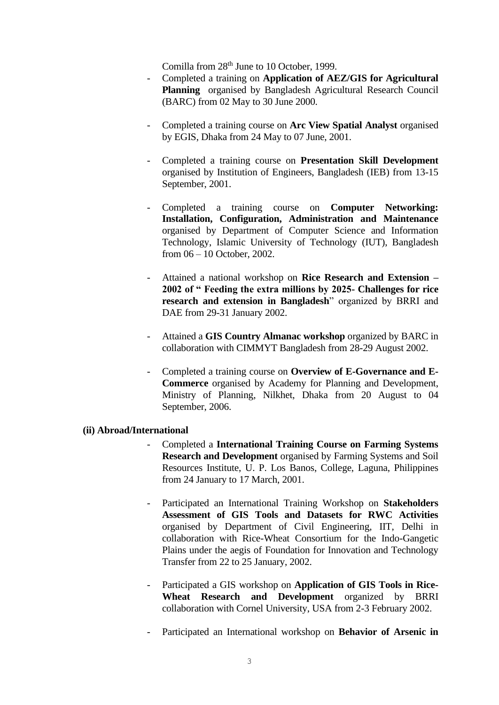Comilla from 28<sup>th</sup> June to 10 October, 1999.

- Completed a training on **Application of AEZ/GIS for Agricultural Planning** organised by Bangladesh Agricultural Research Council (BARC) from 02 May to 30 June 2000.
- Completed a training course on **Arc View Spatial Analyst** organised by EGIS, Dhaka from 24 May to 07 June, 2001.
- Completed a training course on **Presentation Skill Development** organised by Institution of Engineers, Bangladesh (IEB) from 13-15 September, 2001.
- Completed a training course on **Computer Networking: Installation, Configuration, Administration and Maintenance** organised by Department of Computer Science and Information Technology, Islamic University of Technology (IUT), Bangladesh from 06 – 10 October, 2002.
- Attained a national workshop on **Rice Research and Extension – 2002 of " Feeding the extra millions by 2025- Challenges for rice research and extension in Bangladesh**" organized by BRRI and DAE from 29-31 January 2002.
- Attained a **GIS Country Almanac workshop** organized by BARC in collaboration with CIMMYT Bangladesh from 28-29 August 2002.
- Completed a training course on **Overview of E-Governance and E-Commerce** organised by Academy for Planning and Development, Ministry of Planning, Nilkhet, Dhaka from 20 August to 04 September, 2006.

## **(ii) Abroad/International**

- Completed a **International Training Course on Farming Systems Research and Development** organised by Farming Systems and Soil Resources Institute, U. P. Los Banos, College, Laguna, Philippines from 24 January to 17 March, 2001.
- Participated an International Training Workshop on **Stakeholders Assessment of GIS Tools and Datasets for RWC Activities** organised by Department of Civil Engineering, IIT, Delhi in collaboration with Rice-Wheat Consortium for the Indo-Gangetic Plains under the aegis of Foundation for Innovation and Technology Transfer from 22 to 25 January, 2002.
- Participated a GIS workshop on **Application of GIS Tools in Rice-Wheat Research and Development** organized by BRRI collaboration with Cornel University, USA from 2-3 February 2002.
- Participated an International workshop on **Behavior of Arsenic in**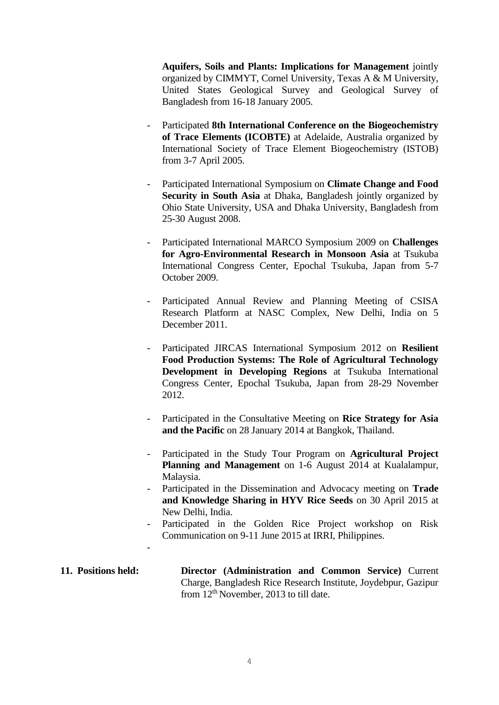**Aquifers, Soils and Plants: Implications for Management** jointly organized by CIMMYT, Cornel University, Texas A & M University, United States Geological Survey and Geological Survey of Bangladesh from 16-18 January 2005.

- Participated **8th International Conference on the Biogeochemistry of Trace Elements (ICOBTE)** at Adelaide, Australia organized by International Society of Trace Element Biogeochemistry (ISTOB) from 3-7 April 2005.
- Participated International Symposium on **Climate Change and Food Security in South Asia** at Dhaka, Bangladesh jointly organized by Ohio State University, USA and Dhaka University, Bangladesh from 25-30 August 2008.
- Participated International MARCO Symposium 2009 on **Challenges for Agro-Environmental Research in Monsoon Asia** at Tsukuba International Congress Center, Epochal Tsukuba, Japan from 5-7 October 2009.
- Participated Annual Review and Planning Meeting of CSISA Research Platform at NASC Complex, New Delhi, India on 5 December 2011.
- Participated JIRCAS International Symposium 2012 on **Resilient Food Production Systems: The Role of Agricultural Technology Development in Developing Regions** at Tsukuba International Congress Center, Epochal Tsukuba, Japan from 28-29 November 2012.
- Participated in the Consultative Meeting on **Rice Strategy for Asia and the Pacific** on 28 January 2014 at Bangkok, Thailand.
- Participated in the Study Tour Program on **Agricultural Project Planning and Management** on 1-6 August 2014 at Kualalampur, Malaysia.
- Participated in the Dissemination and Advocacy meeting on **Trade and Knowledge Sharing in HYV Rice Seeds** on 30 April 2015 at New Delhi, India.
- Participated in the Golden Rice Project workshop on Risk Communication on 9-11 June 2015 at IRRI, Philippines.

## **11. Positions held: Director (Administration and Common Service)** Current Charge, Bangladesh Rice Research Institute, Joydebpur, Gazipur from  $12<sup>th</sup>$  November, 2013 to till date.

-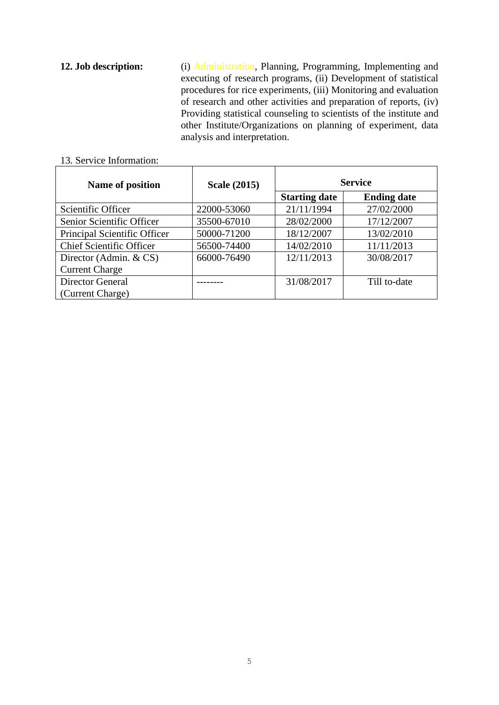**12. Job description:** (i) Administration, Planning, Programming, Implementing and executing of research programs, (ii) Development of statistical procedures for rice experiments, (iii) Monitoring and evaluation of research and other activities and preparation of reports, (iv) Providing statistical counseling to scientists of the institute and other Institute/Organizations on planning of experiment, data analysis and interpretation.

| Name of position                | <b>Scale (2015)</b> | <b>Service</b>       |                    |  |
|---------------------------------|---------------------|----------------------|--------------------|--|
|                                 |                     | <b>Starting date</b> | <b>Ending date</b> |  |
| Scientific Officer              | 22000-53060         | 21/11/1994           | 27/02/2000         |  |
| Senior Scientific Officer       | 35500-67010         | 28/02/2000           | 17/12/2007         |  |
| Principal Scientific Officer    | 50000-71200         | 18/12/2007           | 13/02/2010         |  |
| <b>Chief Scientific Officer</b> | 56500-74400         | 14/02/2010           | 11/11/2013         |  |
| Director (Admin. & CS)          | 66000-76490         | 12/11/2013           | 30/08/2017         |  |
| <b>Current Charge</b>           |                     |                      |                    |  |
| <b>Director General</b>         |                     | 31/08/2017           | Till to-date       |  |
| (Current Charge)                |                     |                      |                    |  |

### 13. Service Information: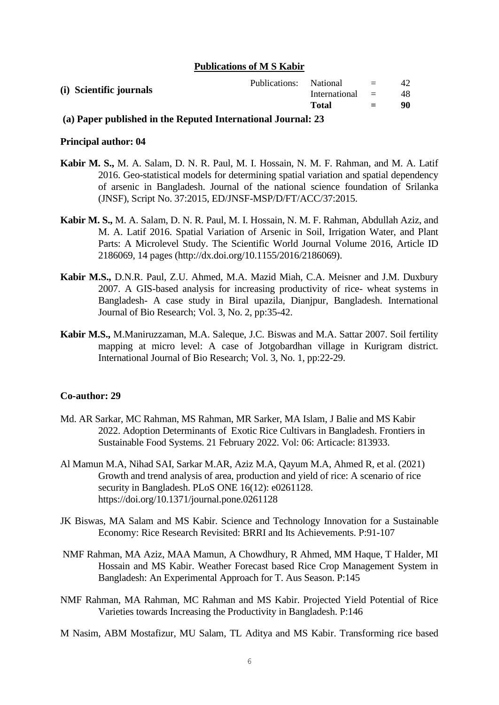### **Publications of M S Kabir**

| Publications: National<br>and the state of the state of the<br>(i) Scientific journals<br>International =<br><b>Total</b> | $=$ | 42<br>48<br>90 |
|---------------------------------------------------------------------------------------------------------------------------|-----|----------------|
|---------------------------------------------------------------------------------------------------------------------------|-----|----------------|

### **(a) Paper published in the Reputed International Journal: 23**

### **Principal author: 04**

- **Kabir M. S.,** M. A. Salam, D. N. R. Paul, M. I. Hossain, N. M. F. Rahman, and M. A. Latif 2016. Geo-statistical models for determining spatial variation and spatial dependency of arsenic in Bangladesh. Journal of the national science foundation of Srilanka (JNSF), Script No. 37:2015, ED/JNSF-MSP/D/FT/ACC/37:2015.
- **Kabir M. S.,** M. A. Salam, D. N. R. Paul, M. I. Hossain, N. M. F. Rahman, Abdullah Aziz, and M. A. Latif 2016. Spatial Variation of Arsenic in Soil, Irrigation Water, and Plant Parts: A Microlevel Study. The Scientific World Journal Volume 2016, Article ID 2186069, 14 pages (http://dx.doi.org/10.1155/2016/2186069).
- **Kabir M.S.,** D.N.R. Paul, Z.U. Ahmed, M.A. Mazid Miah, C.A. Meisner and J.M. Duxbury 2007. A GIS-based analysis for increasing productivity of rice- wheat systems in Bangladesh- A case study in Biral upazila, Dianjpur, Bangladesh. International Journal of Bio Research; Vol. 3, No. 2, pp:35-42.
- **Kabir M.S.,** M.Maniruzzaman, M.A. Saleque, J.C. Biswas and M.A. Sattar 2007. Soil fertility mapping at micro level: A case of Jotgobardhan village in Kurigram district. International Journal of Bio Research; Vol. 3, No. 1, pp:22-29.

## **Co-author: 29**

- Md. AR Sarkar, MC Rahman, MS Rahman, MR Sarker, MA Islam, J Balie and MS Kabir 2022. Adoption Determinants of Exotic Rice Cultivars in Bangladesh. Frontiers in Sustainable Food Systems. 21 February 2022. Vol: 06: Articacle: 813933.
- Al Mamun M.A, Nihad SAI, Sarkar M.AR, Aziz M.A, Qayum M.A, Ahmed R, et al. (2021) Growth and trend analysis of area, production and yield of rice: A scenario of rice security in Bangladesh. PLoS ONE 16(12): e0261128. https://doi.org/10.1371/journal.pone.0261128
- JK Biswas, MA Salam and MS Kabir. Science and Technology Innovation for a Sustainable Economy: Rice Research Revisited: BRRI and Its Achievements. P:91-107
- NMF Rahman, MA Aziz, MAA Mamun, A Chowdhury, R Ahmed, MM Haque, T Halder, MI Hossain and MS Kabir. Weather Forecast based Rice Crop Management System in Bangladesh: An Experimental Approach for T. Aus Season. P:145
- NMF Rahman, MA Rahman, MC Rahman and MS Kabir. Projected Yield Potential of Rice Varieties towards Increasing the Productivity in Bangladesh. P:146
- M Nasim, ABM Mostafizur, MU Salam, TL Aditya and MS Kabir. Transforming rice based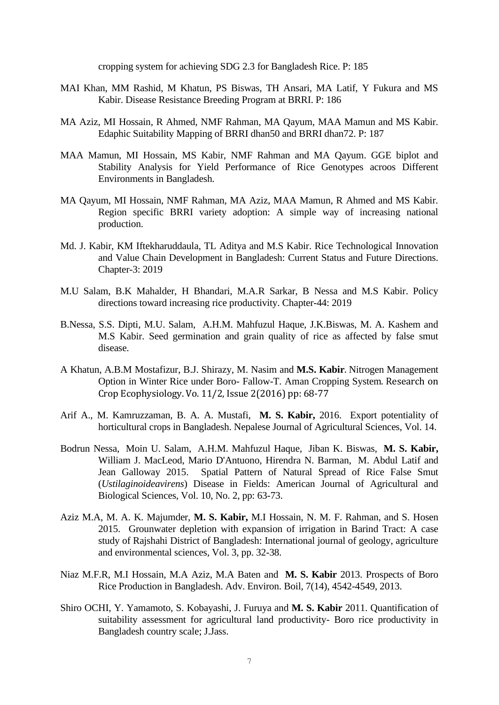cropping system for achieving SDG 2.3 for Bangladesh Rice. P: 185

- MAI Khan, MM Rashid, M Khatun, PS Biswas, TH Ansari, MA Latif, Y Fukura and MS Kabir. Disease Resistance Breeding Program at BRRI. P: 186
- MA Aziz, MI Hossain, R Ahmed, NMF Rahman, MA Qayum, MAA Mamun and MS Kabir. Edaphic Suitability Mapping of BRRI dhan50 and BRRI dhan72. P: 187
- MAA Mamun, MI Hossain, MS Kabir, NMF Rahman and MA Qayum. GGE biplot and Stability Analysis for Yield Performance of Rice Genotypes acroos Different Environments in Bangladesh.
- MA Qayum, MI Hossain, NMF Rahman, MA Aziz, MAA Mamun, R Ahmed and MS Kabir. Region specific BRRI variety adoption: A simple way of increasing national production.
- Md. J. Kabir, KM Iftekharuddaula, TL Aditya and M.S Kabir. Rice Technological Innovation and Value Chain Development in Bangladesh: Current Status and Future Directions. Chapter-3: 2019
- M.U Salam, B.K Mahalder, H Bhandari, M.A.R Sarkar, B Nessa and M.S Kabir. Policy directions toward increasing rice productivity. Chapter-44: 2019
- B.Nessa, S.S. Dipti, M.U. Salam, A.H.M. Mahfuzul Haque, J.K.Biswas, M. A. Kashem and M.S Kabir. Seed germination and grain quality of rice as affected by false smut disease.
- A Khatun, A.B.M Mostafizur, B.J. Shirazy, M. Nasim and **M.S. Kabir**. Nitrogen Management Option in Winter Rice under Boro- Fallow-T. Aman Cropping System. Research on Crop Ecophysiology. Vo. 11/2, Issue 2(2016) pp: 68-77
- Arif A., M. Kamruzzaman, B. A. A. Mustafi, **M. S. Kabir,** 2016. Export potentiality of horticultural crops in Bangladesh. Nepalese Journal of Agricultural Sciences, Vol. 14.
- Bodrun Nessa, Moin U. Salam, A.H.M. Mahfuzul Haque, Jiban K. Biswas, **M. S. Kabir,**  William J. MacLeod, Mario D'Antuono, Hirendra N. Barman, M. Abdul Latif and Jean Galloway 2015. Spatial Pattern of Natural Spread of Rice False Smut (*Ustilaginoideavirens*) Disease in Fields: American Journal of Agricultural and Biological Sciences, Vol. 10, No. 2, pp: 63-73.
- Aziz M.A, M. A. K. Majumder, **M. S. Kabir,** M.I Hossain, N. M. F. Rahman, and S. Hosen 2015. Grounwater depletion with expansion of irrigation in Barind Tract: A case study of Rajshahi District of Bangladesh: International journal of geology, agriculture and environmental sciences, Vol. 3, pp. 32-38.
- Niaz M.F.R, M.I Hossain, M.A Aziz, M.A Baten and **M. S. Kabir** 2013. Prospects of Boro Rice Production in Bangladesh. Adv. Environ. Boil, 7(14), 4542-4549, 2013.
- Shiro OCHI, Y. Yamamoto, S. Kobayashi, J. Furuya and **M. S. Kabir** 2011. Quantification of suitability assessment for agricultural land productivity- Boro rice productivity in Bangladesh country scale; J.Jass.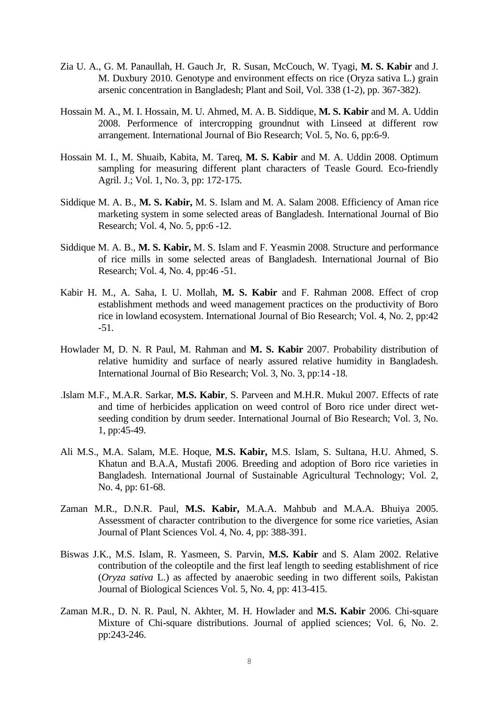- Zia U. A., G. M. Panaullah, H. Gauch Jr, R. Susan, McCouch, W. Tyagi, **M. S. Kabir** and J. M. Duxbury 2010. Genotype and environment effects on rice (Oryza sativa L.) grain arsenic concentration in Bangladesh; Plant and Soil, Vol. 338 (1-2), pp. 367-382).
- Hossain M. A., M. I. Hossain, M. U. Ahmed, M. A. B. Siddique, **M. S. Kabir** and M. A. Uddin 2008. Performence of intercropping groundnut with Linseed at different row arrangement. International Journal of Bio Research; Vol. 5, No. 6, pp:6-9.
- Hossain M. I., M. Shuaib, Kabita, M. Tareq, **M. S. Kabir** and M. A. Uddin 2008. Optimum sampling for measuring different plant characters of Teasle Gourd. Eco-friendly Agril. J.; Vol. 1, No. 3, pp: 172-175.
- Siddique M. A. B., **M. S. Kabir,** M. S. Islam and M. A. Salam 2008. Efficiency of Aman rice marketing system in some selected areas of Bangladesh. International Journal of Bio Research; Vol. 4, No. 5, pp:6 -12.
- Siddique M. A. B., **M. S. Kabir,** M. S. Islam and F. Yeasmin 2008. Structure and performance of rice mills in some selected areas of Bangladesh. International Journal of Bio Research; Vol. 4, No. 4, pp:46 -51.
- Kabir H. M., A. Saha, I. U. Mollah, **M. S. Kabir** and F. Rahman 2008. Effect of crop establishment methods and weed management practices on the productivity of Boro rice in lowland ecosystem. International Journal of Bio Research; Vol. 4, No. 2, pp:42 -51.
- Howlader M, D. N. R Paul, M. Rahman and **M. S. Kabir** 2007. Probability distribution of relative humidity and surface of nearly assured relative humidity in Bangladesh. International Journal of Bio Research; Vol. 3, No. 3, pp:14 -18.
- .Islam M.F., M.A.R. Sarkar, **M.S. Kabir**, S. Parveen and M.H.R. Mukul 2007. Effects of rate and time of herbicides application on weed control of Boro rice under direct wetseeding condition by drum seeder. International Journal of Bio Research; Vol. 3, No. 1, pp:45-49.
- Ali M.S., M.A. Salam, M.E. Hoque, **M.S. Kabir,** M.S. Islam, S. Sultana, H.U. Ahmed, S. Khatun and B.A.A, Mustafi 2006. Breeding and adoption of Boro rice varieties in Bangladesh. International Journal of Sustainable Agricultural Technology; Vol. 2, No. 4, pp: 61-68.
- Zaman M.R., D.N.R. Paul, **M.S. Kabir,** M.A.A. Mahbub and M.A.A. Bhuiya 2005. Assessment of character contribution to the divergence for some rice varieties, Asian Journal of Plant Sciences Vol. 4, No. 4, pp: 388-391.
- Biswas J.K., M.S. Islam, R. Yasmeen, S. Parvin, **M.S. Kabir** and S. Alam 2002. Relative contribution of the coleoptile and the first leaf length to seeding establishment of rice (*Oryza sativa* L.) as affected by anaerobic seeding in two different soils, Pakistan Journal of Biological Sciences Vol. 5, No. 4, pp: 413-415.
- Zaman M.R., D. N. R. Paul, N. Akhter, M. H. Howlader and **M.S. Kabir** 2006. Chi-square Mixture of Chi-square distributions. Journal of applied sciences; Vol. 6, No. 2. pp:243-246.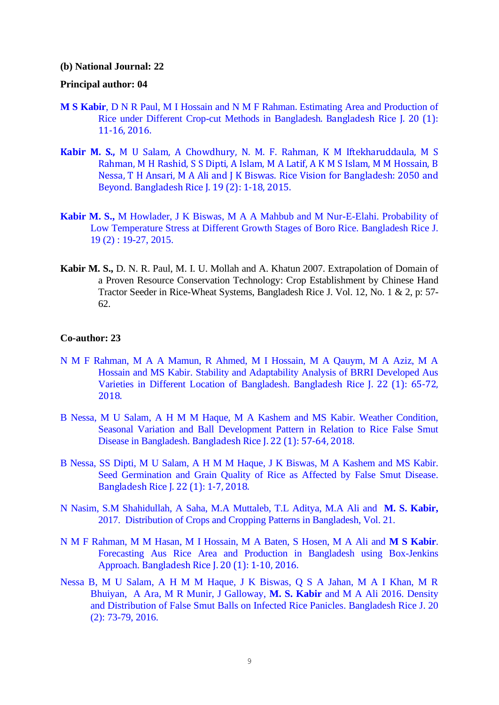#### **(b) National Journal: 22**

## **Principal author: 04**

- **M S Kabir**, D N R Paul, M I Hossain and N M F Rahman. Estimating Area and Production of Rice under Different Crop-cut Methods in Bangladesh. Bangladesh Rice J. 20 (1): 11-16, 2016.
- **Kabir M. S.,** M U Salam, A Chowdhury, N. M. F. Rahman, K M Iftekharuddaula, M S Rahman, M H Rashid, S S Dipti, A Islam, M A Latif, A K M S Islam, M M Hossain, B Nessa, T H Ansari, M A Ali and J K Biswas. Rice Vision for Bangladesh: 2050 and Beyond. Bangladesh Rice J. 19 (2): 1-18, 2015.
- **Kabir M. S.,** M Howlader, J K Biswas, M A A Mahbub and M Nur-E-Elahi. Probability of Low Temperature Stress at Different Growth Stages of Boro Rice. Bangladesh Rice J. 19 (2) : 19-27, 2015.
- **Kabir M. S.,** D. N. R. Paul, M. I. U. Mollah and A. Khatun 2007. Extrapolation of Domain of a Proven Resource Conservation Technology: Crop Establishment by Chinese Hand Tractor Seeder in Rice-Wheat Systems, Bangladesh Rice J. Vol. 12, No. 1 & 2, p: 57- 62.

## **Co-author: 23**

- N M F Rahman, M A A Mamun, R Ahmed, M I Hossain, M A Qauym, M A Aziz, M A Hossain and MS Kabir. Stability and Adaptability Analysis of BRRI Developed Aus Varieties in Different Location of Bangladesh. Bangladesh Rice J. 22 (1): 65-72, 2018.
- B Nessa, M U Salam, A H M M Haque, M A Kashem and MS Kabir. Weather Condition, Seasonal Variation and Ball Development Pattern in Relation to Rice False Smut Disease in Bangladesh. Bangladesh Rice J. 22 (1): 57-64, 2018.
- B Nessa, SS Dipti, M U Salam, A H M M Haque, J K Biswas, M A Kashem and MS Kabir. Seed Germination and Grain Quality of Rice as Affected by False Smut Disease. Bangladesh Rice J. 22 (1): 1-7, 2018.
- N Nasim, S.M Shahidullah, A Saha, M.A Muttaleb, T.L Aditya, M.A Ali and **M. S. Kabir,**  2017. Distribution of Crops and Cropping Patterns in Bangladesh, Vol. 21.
- N M F Rahman, M M Hasan, M I Hossain, M A Baten, S Hosen, M A Ali and **M S Kabir**. Forecasting Aus Rice Area and Production in Bangladesh using Box-Jenkins Approach. Bangladesh Rice J. 20 (1): 1-10, 2016.
- Nessa B, M U Salam, A H M M Haque, J K Biswas, Q S A Jahan, M A I Khan, M R Bhuiyan, A Ara, M R Munir, J Galloway, **M. S. Kabir** and M A Ali 2016. Density and Distribution of False Smut Balls on Infected Rice Panicles. Bangladesh Rice J. 20 (2): 73-79, 2016.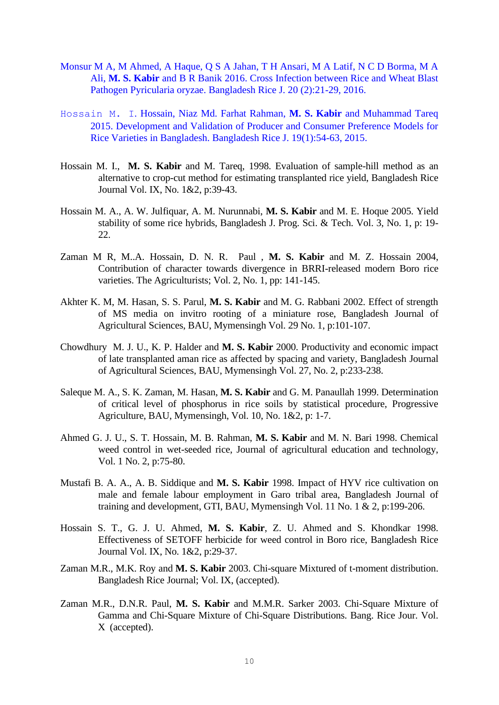- Monsur M A, M Ahmed, A Haque, Q S A Jahan, T H Ansari, M A Latif, N C D Borma, M A Ali, **M. S. Kabir** and B R Banik 2016. Cross Infection between Rice and Wheat Blast Pathogen Pyricularia oryzae. Bangladesh Rice J. 20 (2):21-29, 2016.
- Hossain M. I. Hossain, Niaz Md. Farhat Rahman, **M. S. Kabir** and Muhammad Tareq 2015. Development and Validation of Producer and Consumer Preference Models for Rice Varieties in Bangladesh. Bangladesh Rice J. 19(1):54-63, 2015.
- Hossain M. I., **M. S. Kabir** and M. Tareq, 1998. Evaluation of sample-hill method as an alternative to crop-cut method for estimating transplanted rice yield, Bangladesh Rice Journal Vol. IX, No. 1&2, p:39-43.
- Hossain M. A., A. W. Julfiquar, A. M. Nurunnabi, **M. S. Kabir** and M. E. Hoque 2005. Yield stability of some rice hybrids, Bangladesh J. Prog. Sci. & Tech. Vol. 3, No. 1, p: 19- 22.
- Zaman M R, M..A. Hossain, D. N. R. Paul , **M. S. Kabir** and M. Z. Hossain 2004, Contribution of character towards divergence in BRRI-released modern Boro rice varieties. The Agriculturists; Vol. 2, No. 1, pp: 141-145.
- Akhter K. M, M. Hasan, S. S. Parul, **M. S. Kabir** and M. G. Rabbani 2002. Effect of strength of MS media on invitro rooting of a miniature rose, Bangladesh Journal of Agricultural Sciences, BAU, Mymensingh Vol. 29 No. 1, p:101-107.
- Chowdhury M. J. U., K. P. Halder and **M. S. Kabir** 2000. Productivity and economic impact of late transplanted aman rice as affected by spacing and variety, Bangladesh Journal of Agricultural Sciences, BAU, Mymensingh Vol. 27, No. 2, p:233-238.
- Saleque M. A., S. K. Zaman, M. Hasan, **M. S. Kabir** and G. M. Panaullah 1999. Determination of critical level of phosphorus in rice soils by statistical procedure, Progressive Agriculture, BAU, Mymensingh, Vol. 10, No. 1&2, p: 1-7.
- Ahmed G. J. U., S. T. Hossain, M. B. Rahman, **M. S. Kabir** and M. N. Bari 1998. Chemical weed control in wet-seeded rice, Journal of agricultural education and technology, Vol. 1 No. 2, p:75-80.
- Mustafi B. A. A., A. B. Siddique and **M. S. Kabir** 1998. Impact of HYV rice cultivation on male and female labour employment in Garo tribal area, Bangladesh Journal of training and development, GTI, BAU, Mymensingh Vol. 11 No. 1 & 2, p:199-206.
- Hossain S. T., G. J. U. Ahmed, **M. S. Kabir**, Z. U. Ahmed and S. Khondkar 1998. Effectiveness of SETOFF herbicide for weed control in Boro rice, Bangladesh Rice Journal Vol. IX, No. 1&2, p:29-37.
- Zaman M.R., M.K. Roy and **M. S. Kabir** 2003. Chi-square Mixtured of t-moment distribution. Bangladesh Rice Journal; Vol. IX, (accepted).
- Zaman M.R., D.N.R. Paul, **M. S. Kabir** and M.M.R. Sarker 2003. Chi-Square Mixture of Gamma and Chi-Square Mixture of Chi-Square Distributions. Bang. Rice Jour. Vol. X (accepted).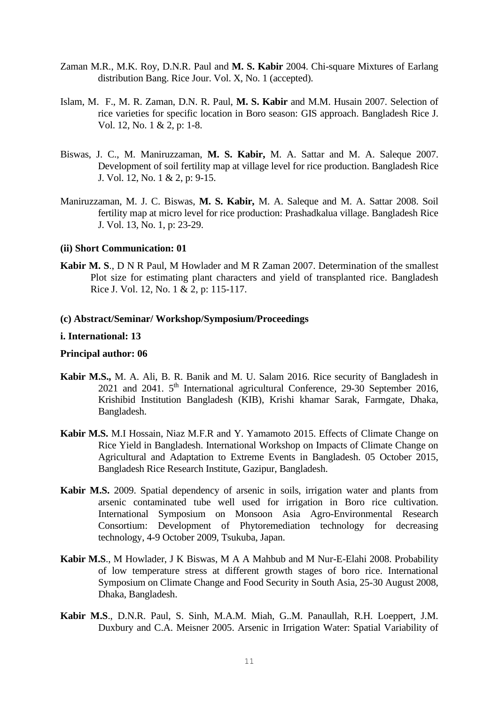- Zaman M.R., M.K. Roy, D.N.R. Paul and **M. S. Kabir** 2004. Chi-square Mixtures of Earlang distribution Bang. Rice Jour. Vol. X, No. 1 (accepted).
- Islam, M. F., M. R. Zaman, D.N. R. Paul, **M. S. Kabir** and M.M. Husain 2007. Selection of rice varieties for specific location in Boro season: GIS approach. Bangladesh Rice J. Vol. 12, No. 1 & 2, p: 1-8.
- Biswas, J. C., M. Maniruzzaman, **M. S. Kabir,** M. A. Sattar and M. A. Saleque 2007. Development of soil fertility map at village level for rice production. Bangladesh Rice J. Vol. 12, No. 1 & 2, p: 9-15.
- Maniruzzaman, M. J. C. Biswas, **M. S. Kabir,** M. A. Saleque and M. A. Sattar 2008. Soil fertility map at micro level for rice production: Prashadkalua village. Bangladesh Rice J. Vol. 13, No. 1, p: 23-29.

### **(ii) Short Communication: 01**

**Kabir M. S**., D N R Paul, M Howlader and M R Zaman 2007. Determination of the smallest Plot size for estimating plant characters and yield of transplanted rice. Bangladesh Rice J. Vol. 12, No. 1 & 2, p: 115-117.

#### **(c) Abstract/Seminar/ Workshop/Symposium/Proceedings**

#### **i. International: 13**

### **Principal author: 06**

- **Kabir M.S.,** M. A. Ali, B. R. Banik and M. U. Salam 2016. Rice security of Bangladesh in 2021 and 2041. 5<sup>th</sup> International agricultural Conference, 29-30 September 2016, Krishibid Institution Bangladesh (KIB), Krishi khamar Sarak, Farmgate, Dhaka, Bangladesh.
- **Kabir M.S.** M.I Hossain, Niaz M.F.R and Y. Yamamoto 2015. Effects of Climate Change on Rice Yield in Bangladesh. International Workshop on Impacts of Climate Change on Agricultural and Adaptation to Extreme Events in Bangladesh. 05 October 2015, Bangladesh Rice Research Institute, Gazipur, Bangladesh.
- **Kabir M.S.** 2009. Spatial dependency of arsenic in soils, irrigation water and plants from arsenic contaminated tube well used for irrigation in Boro rice cultivation. International Symposium on Monsoon Asia Agro-Environmental Research Consortium: Development of Phytoremediation technology for decreasing technology, 4-9 October 2009, Tsukuba, Japan.
- **Kabir M.S**., M Howlader, J K Biswas, M A A Mahbub and M Nur-E-Elahi 2008. Probability of low temperature stress at different growth stages of boro rice. International Symposium on Climate Change and Food Security in South Asia, 25-30 August 2008, Dhaka, Bangladesh.
- **Kabir M.S**., D.N.R. Paul, S. Sinh, M.A.M. Miah, G..M. Panaullah, R.H. Loeppert, J.M. Duxbury and C.A. Meisner 2005. Arsenic in Irrigation Water: Spatial Variability of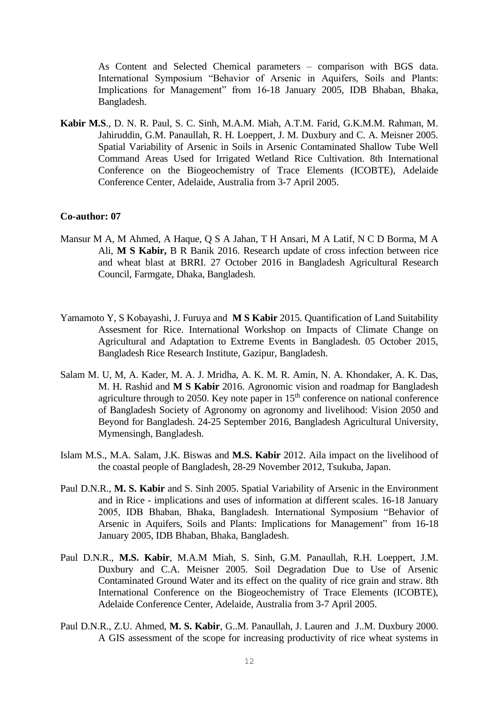As Content and Selected Chemical parameters – comparison with BGS data. International Symposium "Behavior of Arsenic in Aquifers, Soils and Plants: Implications for Management" from 16-18 January 2005, IDB Bhaban, Bhaka, Bangladesh.

**Kabir M.S**., D. N. R. Paul, S. C. Sinh, M.A.M. Miah, A.T.M. Farid, G.K.M.M. Rahman, M. Jahiruddin, G.M. Panaullah, R. H. Loeppert, J. M. Duxbury and C. A. Meisner 2005. Spatial Variability of Arsenic in Soils in Arsenic Contaminated Shallow Tube Well Command Areas Used for Irrigated Wetland Rice Cultivation. 8th International Conference on the Biogeochemistry of Trace Elements (ICOBTE), Adelaide Conference Center, Adelaide, Australia from 3-7 April 2005.

### **Co-author: 07**

- Mansur M A, M Ahmed, A Haque, Q S A Jahan, T H Ansari, M A Latif, N C D Borma, M A Ali, **M S Kabir,** B R Banik 2016. Research update of cross infection between rice and wheat blast at BRRI. 27 October 2016 in Bangladesh Agricultural Research Council, Farmgate, Dhaka, Bangladesh.
- Yamamoto Y, S Kobayashi, J. Furuya and **M S Kabir** 2015. Quantification of Land Suitability Assesment for Rice. International Workshop on Impacts of Climate Change on Agricultural and Adaptation to Extreme Events in Bangladesh. 05 October 2015, Bangladesh Rice Research Institute, Gazipur, Bangladesh.
- Salam M. U, M, A. Kader, M. A. J. Mridha, A. K. M. R. Amin, N. A. Khondaker, A. K. Das, M. H. Rashid and **M S Kabir** 2016. Agronomic vision and roadmap for Bangladesh agriculture through to 2050. Key note paper in  $15<sup>th</sup>$  conference on national conference of Bangladesh Society of Agronomy on agronomy and livelihood: Vision 2050 and Beyond for Bangladesh. 24-25 September 2016, Bangladesh Agricultural University, Mymensingh, Bangladesh.
- Islam M.S., M.A. Salam, J.K. Biswas and **M.S. Kabir** 2012. Aila impact on the livelihood of the coastal people of Bangladesh, 28-29 November 2012, Tsukuba, Japan.
- Paul D.N.R., **M. S. Kabir** and S. Sinh 2005. Spatial Variability of Arsenic in the Environment and in Rice - implications and uses of information at different scales. 16-18 January 2005, IDB Bhaban, Bhaka, Bangladesh. International Symposium "Behavior of Arsenic in Aquifers, Soils and Plants: Implications for Management" from 16-18 January 2005, IDB Bhaban, Bhaka, Bangladesh.
- Paul D.N.R., **M.S. Kabir**, M.A.M Miah, S. Sinh, G.M. Panaullah, R.H. Loeppert, J.M. Duxbury and C.A. Meisner 2005. Soil Degradation Due to Use of Arsenic Contaminated Ground Water and its effect on the quality of rice grain and straw. 8th International Conference on the Biogeochemistry of Trace Elements (ICOBTE), Adelaide Conference Center, Adelaide, Australia from 3-7 April 2005.
- Paul D.N.R., Z.U. Ahmed, **M. S. Kabir**, G..M. Panaullah, J. Lauren and J..M. Duxbury 2000. A GIS assessment of the scope for increasing productivity of rice wheat systems in